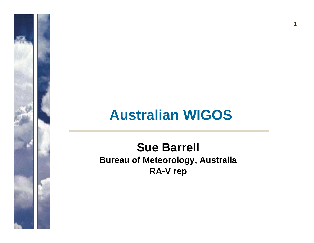#### **Australian WIGOS**

 $\mathbf 1$ 

#### **Sue Barrell Bureau of Meteorology, Australia RA-V rep**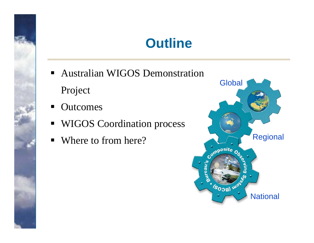#### **Outline**

- Australian WIGOS Demonstration Project
- $\blacksquare$ **Outcomes**
- $\blacksquare$ WIGOS Coordination process
- $\blacksquare$ Where to from here?

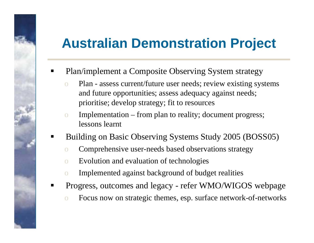#### **Australian Demonstration Project**

- $\blacksquare$  Plan/implement a Composite Observing System strategy
	- o Plan assess current/future user needs; review existing systems and future opportunities; assess adequacy against needs; prioritise; develop strategy; fit to resources
	- o Implementation from plan to reality; document progress; lessons learnt
- ٠ Building on Basic Observing Systems Study 2005 (BOSS05)
	- o Comprehensive user-needs based observations strategy
	- o Evolution and evaluation of technologies
	- o Implemented against background of budget realities
- ٠ Progress, outcomes and legacy - refer WMO/WIGOS webpage
	- o Focus now on strategic themes, esp. surface network-of-networks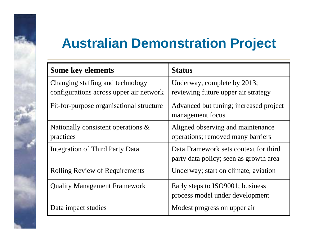### **Australian Demonstration Project**

| <b>Some key elements</b>                                                    | <b>Status</b>                                                                   |  |  |  |
|-----------------------------------------------------------------------------|---------------------------------------------------------------------------------|--|--|--|
| Changing staffing and technology<br>configurations across upper air network | Underway, complete by 2013;<br>reviewing future upper air strategy              |  |  |  |
| Fit-for-purpose organisational structure                                    | Advanced but tuning; increased project<br>management focus                      |  |  |  |
| Nationally consistent operations $\&$<br>practices                          | Aligned observing and maintenance<br>operations; removed many barriers          |  |  |  |
| Integration of Third Party Data                                             | Data Framework sets context for third<br>party data policy; seen as growth area |  |  |  |
| <b>Rolling Review of Requirements</b>                                       | Underway; start on climate, aviation                                            |  |  |  |
| <b>Quality Management Framework</b>                                         | Early steps to ISO9001; business<br>process model under development             |  |  |  |
| Data impact studies                                                         | Modest progress on upper air                                                    |  |  |  |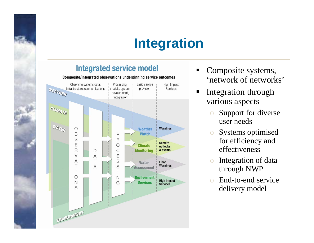## **Integration**

#### **Integrated service model**

Composite/integrated observations underpinning service outcomes



- ٠ Composite systems, 'network of networks'
- $\blacksquare$  Integration through various aspects
	- o Support for diverse user needs
	- o Systems optimised for efficiency and effectiveness
	- o Integration of data through NWP
	- o End-to-end service delivery model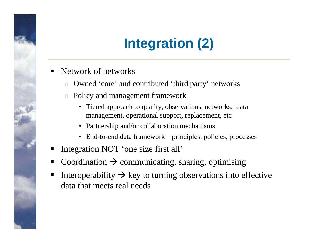# **Integration (2)**

- ٠ Network of networks
	- o Owned 'core' and contributed 'third party' networks
	- o Policy and management framework
		- Tiered approach to quality, observations, networks, data management, operational support, replacement, etc
		- Partnership and/or collaboration mechanisms
		- End-to-end data framework principles, policies, processes
- ٠ Integration NOT 'one size first all'
- ٠ • Coordination  $\rightarrow$  communicating, sharing, optimising
- ٠ Interoperability  $\rightarrow$  key to turning observations into effective data that meets real needs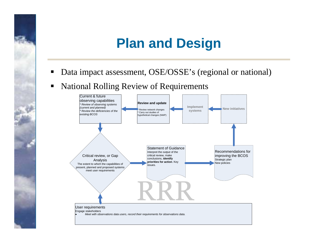### **Plan and Design**

- $\blacksquare$ Data impact assessment, OSE/OSSE's (regional or national)
- $\blacksquare$ National Rolling Review of Requirements